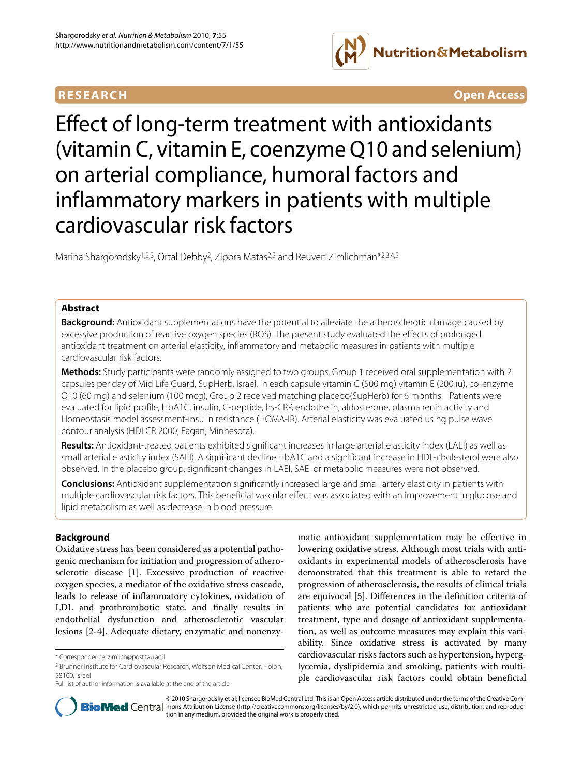## **RESEARCH Open Access**



# Effect of long-term treatment with antioxidants (vitamin C, vitamin E, coenzyme Q10 and selenium) on arterial compliance, humoral factors and inflammatory markers in patients with multiple cardiovascular risk factors

Marina Shargorodsky<sup>1,2,3</sup>, Ortal Debby<sup>2</sup>, Zipora Matas<sup>2,5</sup> and Reuven Zimlichman<sup>\*2,3,4,5</sup>

## **Abstract**

**Background:** Antioxidant supplementations have the potential to alleviate the atherosclerotic damage caused by excessive production of reactive oxygen species (ROS). The present study evaluated the effects of prolonged antioxidant treatment on arterial elasticity, inflammatory and metabolic measures in patients with multiple cardiovascular risk factors.

**Methods:** Study participants were randomly assigned to two groups. Group 1 received oral supplementation with 2 capsules per day of Mid Life Guard, SupHerb, Israel. In each capsule vitamin C (500 mg) vitamin E (200 iu), co-enzyme Q10 (60 mg) and selenium (100 mcg), Group 2 received matching placebo(SupHerb) for 6 months. Patients were evaluated for lipid profile, HbA1C, insulin, C-peptide, hs-CRP, endothelin, aldosterone, plasma renin activity and Homeostasis model assessment-insulin resistance (HOMA-IR). Arterial elasticity was evaluated using pulse wave contour analysis (HDI CR 2000, Eagan, Minnesota).

**Results:** Antioxidant-treated patients exhibited significant increases in large arterial elasticity index (LAEI) as well as small arterial elasticity index (SAEI). A significant decline HbA1C and a significant increase in HDL-cholesterol were also observed. In the placebo group, significant changes in LAEI, SAEI or metabolic measures were not observed.

**Conclusions:** Antioxidant supplementation significantly increased large and small artery elasticity in patients with multiple cardiovascular risk factors. This beneficial vascular effect was associated with an improvement in glucose and lipid metabolism as well as decrease in blood pressure.

## **Background**

Oxidative stress has been considered as a potential pathogenic mechanism for initiation and progression of atherosclerotic disease [\[1](#page-6-0)]. Excessive production of reactive oxygen species, a mediator of the oxidative stress cascade, leads to release of inflammatory cytokines, oxidation of LDL and prothrombotic state, and finally results in endothelial dysfunction and atherosclerotic vascular lesions [[2](#page-6-1)[-4](#page-6-2)]. Adequate dietary, enzymatic and nonenzymatic antioxidant supplementation may be effective in lowering oxidative stress. Although most trials with antioxidants in experimental models of atherosclerosis have demonstrated that this treatment is able to retard the progression of atherosclerosis, the results of clinical trials are equivocal [\[5](#page-6-3)]. Differences in the definition criteria of patients who are potential candidates for antioxidant treatment, type and dosage of antioxidant supplementation, as well as outcome measures may explain this variability. Since oxidative stress is activated by many cardiovascular risks factors such as hypertension, hyperglycemia, dyslipidemia and smoking, patients with multiple cardiovascular risk factors could obtain beneficial



© 2010 Shargorodsky et al; licensee BioMed Central Ltd. This is an Open Access article distributed under the terms of the Creative Com-**Bio Med** Central mons Attribution License (http://creativecommons.org/licenses/by/2.0), which permits unrestricted use, distribution, and reproduction in any medium, provided the original work is properly cited.

<sup>\*</sup> Correspondence: zimlich@post.tau.ac.il

<sup>2</sup> Brunner Institute for Cardiovascular Research, Wolfson Medical Center, Holon, 58100, Israel

Full list of author information is available at the end of the article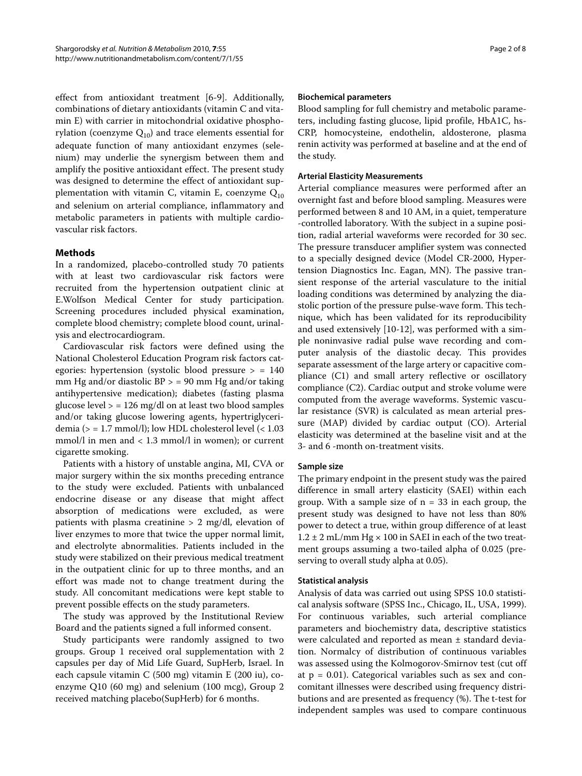effect from antioxidant treatment [\[6](#page-6-4)-[9\]](#page-6-5). Additionally, combinations of dietary antioxidants (vitamin C and vitamin E) with carrier in mitochondrial oxidative phosphorylation (coenzyme  $Q_{10}$ ) and trace elements essential for adequate function of many antioxidant enzymes (selenium) may underlie the synergism between them and amplify the positive antioxidant effect. The present study was designed to determine the effect of antioxidant supplementation with vitamin C, vitamin E, coenzyme  $Q_{10}$ and selenium on arterial compliance, inflammatory and metabolic parameters in patients with multiple cardiovascular risk factors.

## **Methods**

In a randomized, placebo-controlled study 70 patients with at least two cardiovascular risk factors were recruited from the hypertension outpatient clinic at E.Wolfson Medical Center for study participation. Screening procedures included physical examination, complete blood chemistry; complete blood count, urinalysis and electrocardiogram.

Cardiovascular risk factors were defined using the National Cholesterol Education Program risk factors categories: hypertension (systolic blood pressure > = 140 mm Hg and/or diastolic  $BP > 90$  mm Hg and/or taking antihypertensive medication); diabetes (fasting plasma glucose level  $>$  = 126 mg/dl on at least two blood samples and/or taking glucose lowering agents, hypertriglyceridemia ( $>$  = 1.7 mmol/l); low HDL cholesterol level ( $<$  1.03 mmol/l in men and < 1.3 mmol/l in women); or current cigarette smoking.

Patients with a history of unstable angina, MI, CVA or major surgery within the six months preceding entrance to the study were excluded. Patients with unbalanced endocrine disease or any disease that might affect absorption of medications were excluded, as were patients with plasma creatinine > 2 mg/dl, elevation of liver enzymes to more that twice the upper normal limit, and electrolyte abnormalities. Patients included in the study were stabilized on their previous medical treatment in the outpatient clinic for up to three months, and an effort was made not to change treatment during the study. All concomitant medications were kept stable to prevent possible effects on the study parameters.

The study was approved by the Institutional Review Board and the patients signed a full informed consent.

Study participants were randomly assigned to two groups. Group 1 received oral supplementation with 2 capsules per day of Mid Life Guard, SupHerb, Israel. In each capsule vitamin C (500 mg) vitamin E (200 iu), coenzyme Q10 (60 mg) and selenium (100 mcg), Group 2 received matching placebo(SupHerb) for 6 months.

#### **Biochemical parameters**

Blood sampling for full chemistry and metabolic parameters, including fasting glucose, lipid profile, HbA1C, hs-CRP, homocysteine, endothelin, aldosterone, plasma renin activity was performed at baseline and at the end of the study.

## **Arterial Elasticity Measurements**

Arterial compliance measures were performed after an overnight fast and before blood sampling. Measures were performed between 8 and 10 AM, in a quiet, temperature -controlled laboratory. With the subject in a supine position, radial arterial waveforms were recorded for 30 sec. The pressure transducer amplifier system was connected to a specially designed device (Model CR-2000, Hypertension Diagnostics Inc. Eagan, MN). The passive transient response of the arterial vasculature to the initial loading conditions was determined by analyzing the diastolic portion of the pressure pulse-wave form. This technique, which has been validated for its reproducibility and used extensively [\[10](#page-6-6)-[12\]](#page-6-7), was performed with a simple noninvasive radial pulse wave recording and computer analysis of the diastolic decay. This provides separate assessment of the large artery or capacitive compliance (C1) and small artery reflective or oscillatory compliance (C2). Cardiac output and stroke volume were computed from the average waveforms. Systemic vascular resistance (SVR) is calculated as mean arterial pressure (MAP) divided by cardiac output (CO). Arterial elasticity was determined at the baseline visit and at the 3- and 6 -month on-treatment visits.

## **Sample size**

The primary endpoint in the present study was the paired difference in small artery elasticity (SAEI) within each group. With a sample size of  $n = 33$  in each group, the present study was designed to have not less than 80% power to detect a true, within group difference of at least  $1.2 \pm 2$  mL/mm Hg  $\times$  100 in SAEI in each of the two treatment groups assuming a two-tailed alpha of 0.025 (preserving to overall study alpha at 0.05).

## **Statistical analysis**

Analysis of data was carried out using SPSS 10.0 statistical analysis software (SPSS Inc., Chicago, IL, USA, 1999). For continuous variables, such arterial compliance parameters and biochemistry data, descriptive statistics were calculated and reported as mean ± standard deviation. Normalcy of distribution of continuous variables was assessed using the Kolmogorov-Smirnov test (cut off at  $p = 0.01$ ). Categorical variables such as sex and concomitant illnesses were described using frequency distributions and are presented as frequency (%). The t-test for independent samples was used to compare continuous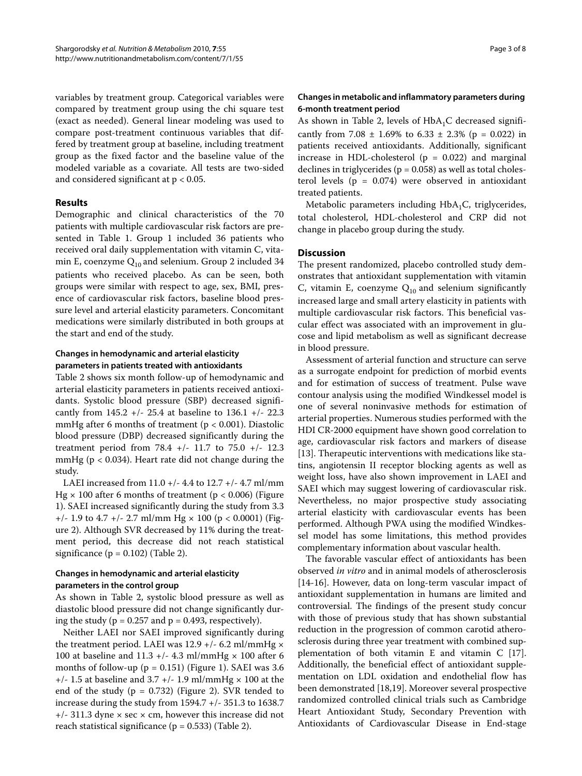variables by treatment group. Categorical variables were compared by treatment group using the chi square test (exact as needed). General linear modeling was used to compare post-treatment continuous variables that differed by treatment group at baseline, including treatment group as the fixed factor and the baseline value of the modeled variable as a covariate. All tests are two-sided and considered significant at p < 0.05.

## **Results**

Demographic and clinical characteristics of the 70 patients with multiple cardiovascular risk factors are presented in Table 1. Group 1 included 36 patients who received oral daily supplementation with vitamin C, vitamin E, coenzyme  $Q_{10}$  and selenium. Group 2 included 34 patients who received placebo. As can be seen, both groups were similar with respect to age, sex, BMI, presence of cardiovascular risk factors, baseline blood pressure level and arterial elasticity parameters. Concomitant medications were similarly distributed in both groups at the start and end of the study.

## **Changes in hemodynamic and arterial elasticity parameters in patients treated with antioxidants**

Table 2 shows six month follow-up of hemodynamic and arterial elasticity parameters in patients received antioxidants. Systolic blood pressure (SBP) decreased significantly from 145.2 +/- 25.4 at baseline to 136.1 +/- 22.3 mmHg after 6 months of treatment ( $p < 0.001$ ). Diastolic blood pressure (DBP) decreased significantly during the treatment period from  $78.4$  +/- 11.7 to  $75.0$  +/- 12.3 mmHg ( $p < 0.034$ ). Heart rate did not change during the study.

LAEI increased from 11.0 +/- 4.4 to 12.7 +/- 4.7 ml/mm Hg  $\times$  100 after 6 months of treatment (p < 0.006) (Figure [1\)](#page-4-0). SAEI increased significantly during the study from 3.3  $+/- 1.9$  to 4.7  $+/- 2.7$  ml/mm Hg  $\times$  100 (p  $< 0.0001$ ) (Figure [2\)](#page-6-8). Although SVR decreased by 11% during the treatment period, this decrease did not reach statistical significance ( $p = 0.102$ ) (Table [2](#page-5-0)).

## **Changes in hemodynamic and arterial elasticity parameters in the control group**

As shown in Table 2, systolic blood pressure as well as diastolic blood pressure did not change significantly during the study ( $p = 0.257$  and  $p = 0.493$ , respectively).

Neither LAEI nor SAEI improved significantly during the treatment period. LAEI was  $12.9 +/- 6.2$  ml/mmHg  $\times$ 100 at baseline and 11.3 +/- 4.3 ml/mmHg  $\times$  100 after 6 months of follow-up ( $p = 0.151$  $p = 0.151$  $p = 0.151$ ) (Figure 1). SAEI was 3.6  $+/- 1.5$  at baseline and 3.7  $+/- 1.9$  ml/mmHg  $\times 100$  at the end of the study ( $p = 0.732$  $p = 0.732$ ) (Figure 2). SVR tended to increase during the study from 1594.7 +/- 351.3 to 1638.7  $+/-$  311.3 dyne  $\times$  sec  $\times$  cm, however this increase did not reach statistical significance ( $p = 0.533$ ) (Table 2).

## **Changes in metabolic and inflammatory parameters during 6-month treatment period**

As shown in Table 2, levels of  $HbA_1C$  decreased significantly from 7.08  $\pm$  1.69% to 6.33  $\pm$  2.3% (p = 0.022) in patients received antioxidants. Additionally, significant increase in HDL-cholesterol ( $p = 0.022$ ) and marginal declines in triglycerides ( $p = 0.058$ ) as well as total cholesterol levels ( $p = 0.074$ ) were observed in antioxidant treated patients.

Metabolic parameters including  $HbA_1C$ , triglycerides, total cholesterol, HDL-cholesterol and CRP did not change in placebo group during the study.

#### **Discussion**

The present randomized, placebo controlled study demonstrates that antioxidant supplementation with vitamin C, vitamin E, coenzyme  $Q_{10}$  and selenium significantly increased large and small artery elasticity in patients with multiple cardiovascular risk factors. This beneficial vascular effect was associated with an improvement in glucose and lipid metabolism as well as significant decrease in blood pressure.

Assessment of arterial function and structure can serve as a surrogate endpoint for prediction of morbid events and for estimation of success of treatment. Pulse wave contour analysis using the modified Windkessel model is one of several noninvasive methods for estimation of arterial properties. Numerous studies performed with the HDI CR-2000 equipment have shown good correlation to age, cardiovascular risk factors and markers of disease [[13\]](#page-6-9). Therapeutic interventions with medications like statins, angiotensin II receptor blocking agents as well as weight loss, have also shown improvement in LAEI and SAEI which may suggest lowering of cardiovascular risk. Nevertheless, no major prospective study associating arterial elasticity with cardiovascular events has been performed. Although PWA using the modified Windkessel model has some limitations, this method provides complementary information about vascular health.

The favorable vascular effect of antioxidants has been observed in vitro and in animal models of atherosclerosis [[14](#page-6-10)[-16](#page-6-11)]. However, data on long-term vascular impact of antioxidant supplementation in humans are limited and controversial. The findings of the present study concur with those of previous study that has shown substantial reduction in the progression of common carotid atherosclerosis during three year treatment with combined supplementation of both vitamin E and vitamin C [\[17](#page-6-12)]. Additionally, the beneficial effect of antioxidant supplementation on LDL oxidation and endothelial flow has been demonstrated [[18,](#page-6-13)[19\]](#page-6-14). Moreover several prospective randomized controlled clinical trials such as Cambridge Heart Antioxidant Study, Secondary Prevention with Antioxidants of Cardiovascular Disease in End-stage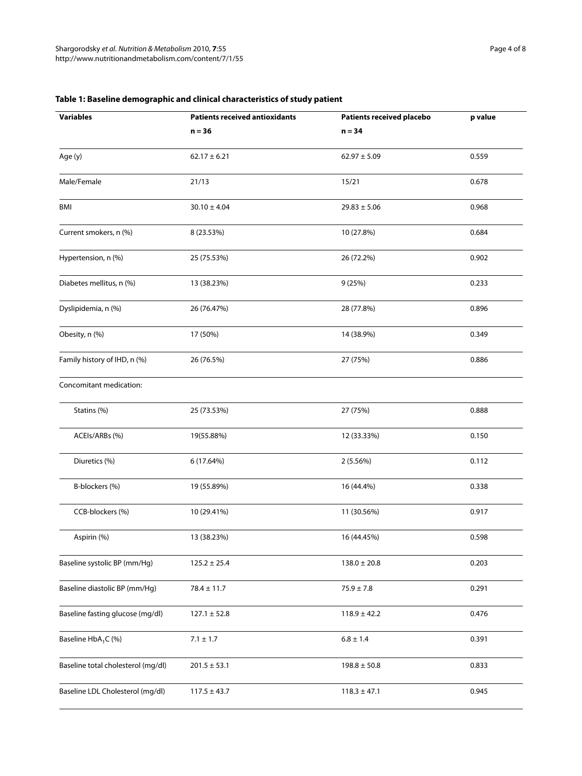| <b>Variables</b>                   | <b>Patients received antioxidants</b> | <b>Patients received placebo</b> | p value |  |
|------------------------------------|---------------------------------------|----------------------------------|---------|--|
|                                    | $n = 36$                              | $n = 34$                         |         |  |
| Age (y)                            | $62.17 \pm 6.21$                      | $62.97 \pm 5.09$                 | 0.559   |  |
| Male/Female                        | 21/13                                 | 15/21                            |         |  |
| BMI                                | $30.10 \pm 4.04$                      | $29.83 \pm 5.06$                 | 0.968   |  |
| Current smokers, n (%)             | 8 (23.53%)                            | 10 (27.8%)                       | 0.684   |  |
| Hypertension, n (%)                | 25 (75.53%)                           | 26 (72.2%)                       | 0.902   |  |
| Diabetes mellitus, n (%)           | 13 (38.23%)                           | 9(25%)                           | 0.233   |  |
| Dyslipidemia, n (%)                | 26 (76.47%)                           | 28 (77.8%)                       | 0.896   |  |
| Obesity, n (%)                     | 17 (50%)                              | 14 (38.9%)                       | 0.349   |  |
| Family history of IHD, n (%)       | 26 (76.5%)                            | 27 (75%)                         | 0.886   |  |
| Concomitant medication:            |                                       |                                  |         |  |
| Statins (%)                        | 25 (73.53%)                           | 27 (75%)                         | 0.888   |  |
| ACEIs/ARBs (%)                     | 19(55.88%)                            | 12 (33.33%)                      | 0.150   |  |
| Diuretics (%)                      | 6 (17.64%)                            | 2(5.56%)                         | 0.112   |  |
| B-blockers (%)                     | 19 (55.89%)                           | 16 (44.4%)                       | 0.338   |  |
| CCB-blockers (%)                   | 10 (29.41%)                           | 11 (30.56%)                      | 0.917   |  |
| Aspirin (%)                        | 13 (38.23%)                           | 16 (44.45%)                      | 0.598   |  |
| Baseline systolic BP (mm/Hg)       | $125.2 \pm 25.4$                      | $138.0 \pm 20.8$                 | 0.203   |  |
| Baseline diastolic BP (mm/Hg)      | $78.4 \pm 11.7$                       | $75.9 \pm 7.8$                   | 0.291   |  |
| Baseline fasting glucose (mg/dl)   | $127.1 \pm 52.8$                      | $118.9 \pm 42.2$                 | 0.476   |  |
| Baseline HbA <sub>1</sub> C (%)    | $7.1 \pm 1.7$                         | $6.8 \pm 1.4$                    | 0.391   |  |
| Baseline total cholesterol (mg/dl) | $201.5 \pm 53.1$                      | $198.8 \pm 50.8$                 | 0.833   |  |
| Baseline LDL Cholesterol (mg/dl)   | $117.5 \pm 43.7$                      | $118.3 \pm 47.1$                 | 0.945   |  |
|                                    |                                       |                                  |         |  |

## **Table 1: Baseline demographic and clinical characteristics of study patient**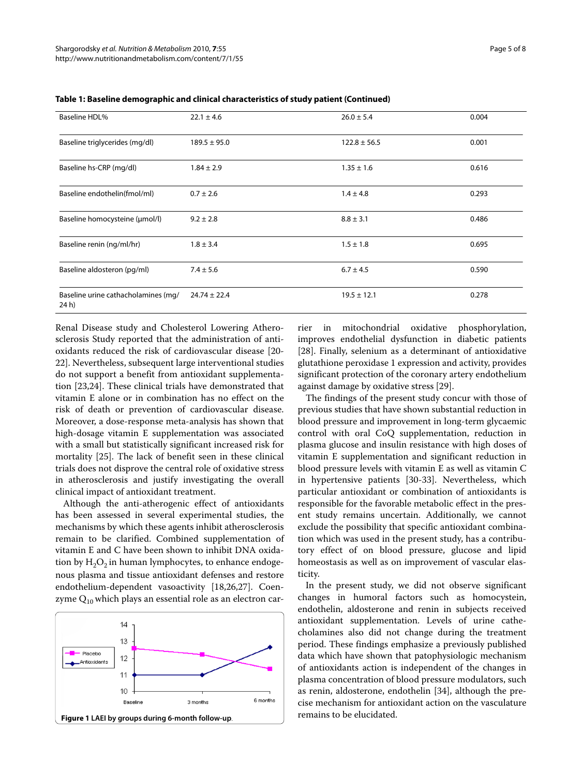| <b>Baseline HDL%</b>                         | $22.1 \pm 4.6$   | $26.0 \pm 5.4$   | 0.004 |
|----------------------------------------------|------------------|------------------|-------|
| Baseline triglycerides (mg/dl)               | $189.5 \pm 95.0$ | $122.8 \pm 56.5$ | 0.001 |
| Baseline hs-CRP (mg/dl)                      | $1.84 \pm 2.9$   | $1.35 \pm 1.6$   | 0.616 |
| Baseline endothelin(fmol/ml)                 | $0.7 \pm 2.6$    | $1.4 \pm 4.8$    | 0.293 |
| Baseline homocysteine (umol/l)               | $9.2 \pm 2.8$    | $8.8 \pm 3.1$    | 0.486 |
| Baseline renin (ng/ml/hr)                    | $1.8 \pm 3.4$    | $1.5 \pm 1.8$    | 0.695 |
| Baseline aldosteron (pg/ml)                  | $7.4 \pm 5.6$    | $6.7 \pm 4.5$    | 0.590 |
| Baseline urine cathacholamines (mg/<br>24 h) | $24.74 \pm 22.4$ | $19.5 \pm 12.1$  | 0.278 |

**Table 1: Baseline demographic and clinical characteristics of study patient (Continued)**

Renal Disease study and Cholesterol Lowering Atherosclerosis Study reported that the administration of antioxidants reduced the risk of cardiovascular disease [\[20-](#page-6-15) [22](#page-6-16)]. Nevertheless, subsequent large interventional studies do not support a benefit from antioxidant supplementation [\[23](#page-6-17)[,24](#page-6-18)]. These clinical trials have demonstrated that vitamin E alone or in combination has no effect on the risk of death or prevention of cardiovascular disease. Moreover, a dose-response meta-analysis has shown that high-dosage vitamin E supplementation was associated with a small but statistically significant increased risk for mortality [\[25](#page-6-19)]. The lack of benefit seen in these clinical trials does not disprove the central role of oxidative stress in atherosclerosis and justify investigating the overall clinical impact of antioxidant treatment.

Although the anti-atherogenic effect of antioxidants has been assessed in several experimental studies, the mechanisms by which these agents inhibit atherosclerosis remain to be clarified. Combined supplementation of vitamin E and C have been shown to inhibit DNA oxidation by  $H_2O_2$  in human lymphocytes, to enhance endogenous plasma and tissue antioxidant defenses and restore endothelium-dependent vasoactivity [\[18](#page-6-13),[26](#page-6-20),[27](#page-6-21)]. Coenzyme  $Q_{10}$  which plays an essential role as an electron car-

<span id="page-4-0"></span>

rier in mitochondrial oxidative phosphorylation, improves endothelial dysfunction in diabetic patients [[28\]](#page-7-0). Finally, selenium as a determinant of antioxidative glutathione peroxidase 1 expression and activity, provides significant protection of the coronary artery endothelium against damage by oxidative stress [\[29](#page-7-1)].

The findings of the present study concur with those of previous studies that have shown substantial reduction in blood pressure and improvement in long-term glycaemic control with oral CoQ supplementation, reduction in plasma glucose and insulin resistance with high doses of vitamin E supplementation and significant reduction in blood pressure levels with vitamin E as well as vitamin C in hypertensive patients [\[30](#page-7-2)-[33\]](#page-7-3). Nevertheless, which particular antioxidant or combination of antioxidants is responsible for the favorable metabolic effect in the present study remains uncertain. Additionally, we cannot exclude the possibility that specific antioxidant combination which was used in the present study, has a contributory effect of on blood pressure, glucose and lipid homeostasis as well as on improvement of vascular elasticity.

In the present study, we did not observe significant changes in humoral factors such as homocystein, endothelin, aldosterone and renin in subjects received antioxidant supplementation. Levels of urine cathecholamines also did not change during the treatment period. These findings emphasize a previously published data which have shown that patophysiologic mechanism of antioxidants action is independent of the changes in plasma concentration of blood pressure modulators, such as renin, aldosterone, endothelin [\[34](#page-7-4)], although the precise mechanism for antioxidant action on the vasculature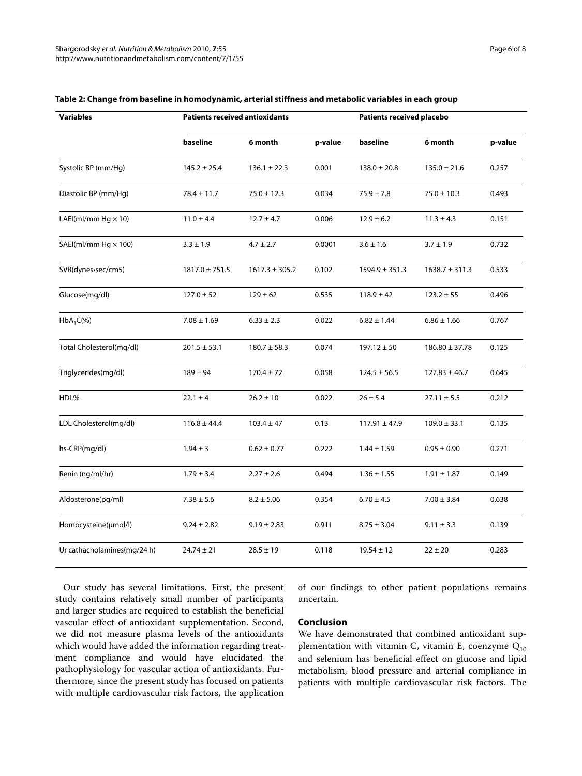| <b>Variables</b>            | <b>Patients received antioxidants</b> |                    |         | Patients received placebo |                    |         |
|-----------------------------|---------------------------------------|--------------------|---------|---------------------------|--------------------|---------|
|                             | baseline                              | 6 month            | p-value | baseline                  | 6 month            | p-value |
| Systolic BP (mm/Hg)         | $145.2 \pm 25.4$                      | $136.1 \pm 22.3$   | 0.001   | $138.0 \pm 20.8$          | $135.0 \pm 21.6$   | 0.257   |
| Diastolic BP (mm/Hq)        | $78.4 \pm 11.7$                       | $75.0 \pm 12.3$    | 0.034   | $75.9 \pm 7.8$            | $75.0 \pm 10.3$    | 0.493   |
| LAEI(ml/mm Hg $\times$ 10)  | $11.0 \pm 4.4$                        | $12.7 \pm 4.7$     | 0.006   | $12.9 \pm 6.2$            | $11.3 \pm 4.3$     | 0.151   |
| SAEI(ml/mm Hg $\times$ 100) | $3.3 \pm 1.9$                         | $4.7 \pm 2.7$      | 0.0001  | $3.6 \pm 1.6$             | $3.7 \pm 1.9$      | 0.732   |
| SVR(dynes-sec/cm5)          | $1817.0 \pm 751.5$                    | $1617.3 \pm 305.2$ | 0.102   | $1594.9 \pm 351.3$        | $1638.7 \pm 311.3$ | 0.533   |
| Glucose(mg/dl)              | $127.0 \pm 52$                        | $129 \pm 62$       | 0.535   | $118.9 \pm 42$            | $123.2 \pm 55$     | 0.496   |
| $HbA_1C(\%)$                | $7.08 \pm 1.69$                       | $6.33 \pm 2.3$     | 0.022   | $6.82 \pm 1.44$           | $6.86 \pm 1.66$    | 0.767   |
| Total Cholesterol(mg/dl)    | $201.5 \pm 53.1$                      | $180.7 \pm 58.3$   | 0.074   | $197.12 \pm 50$           | $186.80 \pm 37.78$ | 0.125   |
| Triglycerides(mg/dl)        | $189 \pm 94$                          | $170.4 \pm 72$     | 0.058   | $124.5 \pm 56.5$          | $127.83 \pm 46.7$  | 0.645   |
| HDL%                        | $22.1 \pm 4$                          | $26.2 \pm 10$      | 0.022   | $26 \pm 5.4$              | $27.11 \pm 5.5$    | 0.212   |
| LDL Cholesterol(mg/dl)      | $116.8 \pm 44.4$                      | $103.4 \pm 47$     | 0.13    | $117.91 \pm 47.9$         | $109.0 \pm 33.1$   | 0.135   |
| hs-CRP(mg/dl)               | $1.94 \pm 3$                          | $0.62 \pm 0.77$    | 0.222   | $1.44 \pm 1.59$           | $0.95 \pm 0.90$    | 0.271   |
| Renin (ng/ml/hr)            | $1.79 \pm 3.4$                        | $2.27 \pm 2.6$     | 0.494   | $1.36 \pm 1.55$           | $1.91 \pm 1.87$    | 0.149   |
| Aldosterone(pg/ml)          | $7.38 \pm 5.6$                        | $8.2 \pm 5.06$     | 0.354   | $6.70 \pm 4.5$            | $7.00 \pm 3.84$    | 0.638   |
| Homocysteine(µmol/l)        | $9.24 \pm 2.82$                       | $9.19 \pm 2.83$    | 0.911   | $8.75 \pm 3.04$           | $9.11 \pm 3.3$     | 0.139   |
| Ur cathacholamines(mg/24 h) | $24.74 \pm 21$                        | $28.5 \pm 19$      | 0.118   | $19.54 \pm 12$            | $22 \pm 20$        | 0.283   |

#### <span id="page-5-0"></span>**Table 2: Change from baseline in homodynamic, arterial stiffness and metabolic variables in each group**

Our study has several limitations. First, the present study contains relatively small number of participants and larger studies are required to establish the beneficial vascular effect of antioxidant supplementation. Second, we did not measure plasma levels of the antioxidants which would have added the information regarding treatment compliance and would have elucidated the pathophysiology for vascular action of antioxidants. Furthermore, since the present study has focused on patients with multiple cardiovascular risk factors, the application of our findings to other patient populations remains uncertain.

#### **Conclusion**

We have demonstrated that combined antioxidant supplementation with vitamin C, vitamin E, coenzyme  $Q_{10}$ and selenium has beneficial effect on glucose and lipid metabolism, blood pressure and arterial compliance in patients with multiple cardiovascular risk factors. The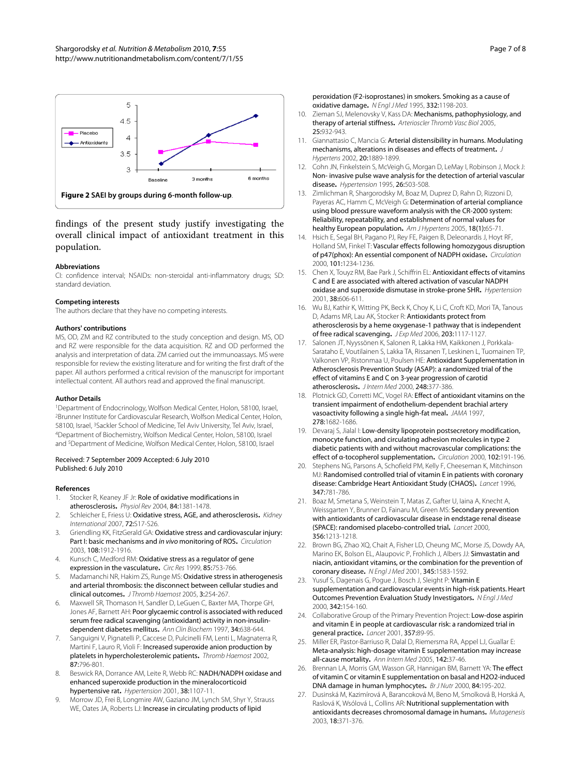<span id="page-6-8"></span>

findings of the present study justify investigating the overall clinical impact of antioxidant treatment in this population.

#### **Abbreviations**

CI: confidence interval; NSAIDs: non-steroidal anti-inflammatory drugs; SD: standard deviation.

#### **Competing interests**

The authors declare that they have no competing interests.

#### **Authors' contributions**

MS, OD, ZM and RZ contributed to the study conception and design. MS, OD and RZ were responsible for the data acquisition. RZ and OD performed the analysis and interpretation of data. ZM carried out the immunoassays. MS were responsible for review the existing literature and for writing the first draft of the paper. All authors performed a critical revision of the manuscript for important intellectual content. All authors read and approved the final manuscript.

#### **Author Details**

1Department of Endocrinology, Wolfson Medical Center, Holon, 58100, Israel, 2Brunner Institute for Cardiovascular Research, Wolfson Medical Center, Holon, 58100, Israel, <sup>3</sup>Sackler School of Medicine, Tel Aviv University, Tel Aviv, Israel, 4Department of Biochemistry, Wolfson Medical Center, Holon, 58100, Israel and 5Department of Medicine, Wolfson Medical Center, Holon, 58100, Israel

#### Received: 7 September 2009 Accepted: 6 July 2010 Published: 6 July 2010

#### **References**

- <span id="page-6-0"></span>1. Stocker R, Keaney JF Jr: Role of oxidative modifications in atherosclerosis**.** Physiol Rev 2004, 84:1381-1478.
- <span id="page-6-1"></span>2. Schleicher E, Friess U: Oxidative stress, AGE, and atherosclerosis**.** Kidney International 2007, 72:S17-S26.
- Griendling KK, FitzGerald GA: Oxidative stress and cardiovascular injury: Part I: basic mechanisms and in vivo monitoring of ROS**.** Circulation 2003, 108:1912-1916.
- <span id="page-6-2"></span>4. Kunsch C, Medford RM: Oxidative stress as a regulator of gene expression in the vasculature**.** Circ Res 1999, 85:753-766.
- <span id="page-6-3"></span>5. Madamanchi NR, Hakim ZS, Runge MS: Oxidative stress in atherogenesis and arterial thrombosis: the disconnect between cellular studies and clinical outcomes**.** J Thromb Haemost 2005, 3:254-267.
- <span id="page-6-4"></span>6. Maxwell SR, Thomason H, Sandler D, LeGuen C, Baxter MA, Thorpe GH, Jones AF, Barnett AH: Poor glycaemic control is associated with reduced serum free radical scavenging (antioxidant) activity in non-insulindependent diabetes mellitus**.** Ann Clin Biochem 1997, 34:638-644.
- 7. Sanguigni V, Pignatelli P, Caccese D, Pulcinelli FM, Lenti L, Magnaterra R, Martini F, Lauro R, Violi F: Increased superoxide anion production by platelets in hypercholesterolemic patients**.** Thromb Haemost 2002, 87:796-801.
- 8. Beswick RA, Dorrance AM, Leite R, Webb RC: NADH/NADPH oxidase and enhanced superoxide production in the mineralocorticoid hypertensive rat**[.](http://www.ncbi.nlm.nih.gov/entrez/query.fcgi?cmd=Retrieve&db=PubMed&dopt=Abstract&list_uids=11711506)** Hypertension 2001, 38:1107-11.
- <span id="page-6-5"></span>9. Morrow JD, Frei B, Longmire AW, Gaziano JM, Lynch SM, Shyr Y, Strauss WE, Oates JA, Roberts LJ: Increase in circulating products of lipid

peroxidation (F2-isoprostanes) in smokers. Smoking as a cause of oxidative damag[e](http://www.ncbi.nlm.nih.gov/entrez/query.fcgi?cmd=Retrieve&db=PubMed&dopt=Abstract&list_uids=7700313)**.** N Engl J Med 1995, 332:1198-203.

- <span id="page-6-6"></span>10. Zieman SJ, Melenovsky V, Kass DA: Mechanisms, pathophysiology, and therapy of arterial stiffness**[.](http://www.ncbi.nlm.nih.gov/entrez/query.fcgi?cmd=Retrieve&db=PubMed&dopt=Abstract&list_uids=15731494)** Arterioscler Thromb Vasc Biol 2005, 25:932-943.
- 11. Giannattasio C, Mancia G: Arterial distensibility in humans. Modulating mechanisms, alterations in diseases and effects of treatment**.** J Hypertens 2002, 20:1889-1899.
- <span id="page-6-7"></span>12. Cohn JN, Finkelstein S, McVeigh G, Morgan D, LeMay I, Robinson J, Mock J: Non- invasive pulse wave analysis for the detection of arterial vascular disease**.** Hypertension 1995, 26:503-508.
- <span id="page-6-9"></span>13. Zimlichman R, Shargorodsky M, Boaz M, Duprez D, Rahn D, Rizzoni D, Payeras AC, Hamm C, McVeigh G: Determination of arterial compliance using blood pressure waveform analysis with the CR-2000 system: Reliability, repeatability, and establishment of normal values for healthy European population**.** Am J Hypertens 2005, 18(1):65-71.
- <span id="page-6-10"></span>14. Hsich E, Segal BH, Pagano PJ, Rey FE, Paigen B, Deleonardis J, Hoyt RF, Holland SM, Finkel T: Vascular effects following homozygous disruption of p47(phox): An essential component of NADPH oxidase**.** Circulation 2000, 101:1234-1236.
- 15. Chen X, Touyz RM, Bae Park J, Schiffrin EL: **Antioxidant effects of vitamins** C and E are associated with altered activation of vascular NADPH oxidase and superoxide dismutase in stroke-prone SHR**.** Hypertension 2001, 38:606-611.
- <span id="page-6-11"></span>16. Wu BJ, Kathir K, Witting PK, Beck K, Choy K, Li C, Croft KD, Mori TA, Tanous D, Adams MR, Lau AK, Stocker R: Antioxidants protect from atherosclerosis by a heme oxygenase-1 pathway that is independent of free radical scavenging**.** J Exp Med 2006, 203:1117-1127.
- <span id="page-6-12"></span>17. Salonen JT, Nyyssönen K, Salonen R, Lakka HM, Kaikkonen J, Porkkala-Sarataho E, Voutilainen S, Lakka TA, Rissanen T, Leskinen L, Tuomainen TP, Valkonen VP, Ristonmaa U, Poulsen HE: Antioxidant Supplementation in Atherosclerosis Prevention Study (ASAP): a randomized trial of the effect of vitamins E and C on 3-year progression of carotid atherosclerosis**.** J Intern Med 2000, 248:377-386.
- <span id="page-6-13"></span>18. Plotnick GD, Corretti MC, Vogel RA: Effect of antioxidant vitamins on the transient impairment of endothelium-dependent brachial artery vasoactivity following a single high-fat meal**[.](http://www.ncbi.nlm.nih.gov/entrez/query.fcgi?cmd=Retrieve&db=PubMed&dopt=Abstract&list_uids=9388088)** JAMA 1997, 278:1682-1686.
- <span id="page-6-14"></span>19. Devaraj S, Jialal I: Low-density lipoprotein postsecretory modification, monocyte function, and circulating adhesion molecules in type 2 diabetic patients with and without macrovascular complications: the effect of α-tocopherol supplementation**.** Circulation 2000, 102:191-196.
- <span id="page-6-15"></span>20. Stephens NG, Parsons A, Schofield PM, Kelly F, Cheeseman K, Mitchinson MJ: Randomised controlled trial of vitamin E in patients with coronary disease: Cambridge Heart Antioxidant Study (CHAOS)**.** Lancet 1996, 347:781-786.
- 21. Boaz M, Smetana S, Weinstein T, Matas Z, Gafter U, Iaina A, Knecht A, Weissgarten Y, Brunner D, Fainaru M, Green MS: Secondary prevention with antioxidants of cardiovascular disease in endstage renal disease (SPACE): randomised placebo-controlled trial**.** Lancet 2000, 356:1213-1218.
- <span id="page-6-16"></span>22. Brown BG, Zhao XQ, Chait A, Fisher LD, Cheung MC, Morse JS, Dowdy AA, Marino EK, Bolson EL, Alaupovic P, Frohlich J, Albers JJ: Simvastatin and niacin, antioxidant vitamins, or the combination for the prevention of coronary disease**.** N Engl J Med 2001, 345:1583-1592.
- <span id="page-6-17"></span>23. Yusuf S, Dagenais G, Poque J, Bosch J, Sleight P: Vitamin E supplementation and cardiovascular events in high-risk patients. Heart Outcomes Prevention Evaluation Study Investigators**.** N Engl J Med 2000, 342:154-160.
- <span id="page-6-18"></span>24. Collaborative Group of the Primary Prevention Project: Low-dose aspirin and vitamin E in people at cardiovascular risk: a randomized trial in general practice**.** Lancet 2001, 357:89-95.
- <span id="page-6-19"></span>25. Miller ER, Pastor-Barriuso R, Dalal D, Riemersma RA, Appel LJ, Guallar E: Meta-analysis: high-dosage vitamin E supplementation may increase all-cause mortality**[.](http://www.ncbi.nlm.nih.gov/entrez/query.fcgi?cmd=Retrieve&db=PubMed&dopt=Abstract&list_uids=15537682)** Ann Intern Med 2005, 142:37-46.
- <span id="page-6-20"></span>26. Brennan LA, Morris GM, Wasson GR, Hannigan BM, Barnett YA: The effect of vitamin C or vitamin E supplementation on basal and H2O2-induced DNA damage in human lymphocytes**.** Br J Nutr 2000, 84:195-202.
- <span id="page-6-21"></span>27. Dusinská M, Kazimírová A, Barancoková M, Beno M, Smolková B, Horská A, Raslová K, Wsólová L, Collins AR: Nutritional supplementation with antioxidants decreases chromosomal damage in humans**.** Mutagenesis 2003, 18:371-376.